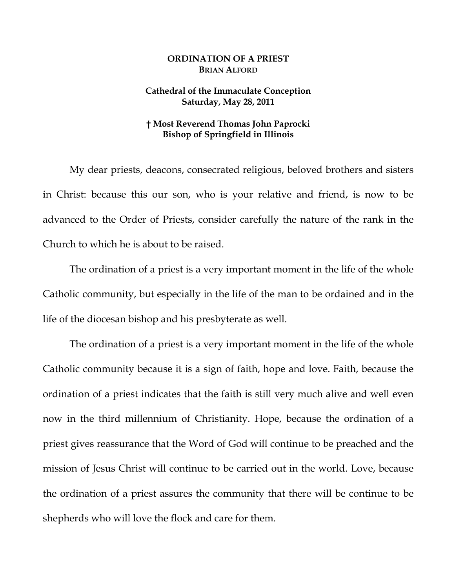## **ORDINATION OF A PRIEST BRIAN ALFORD**

## **Cathedral of the Immaculate Conception Saturday, May 28, 2011**

## **† Most Reverend Thomas John Paprocki Bishop of Springfield in Illinois**

My dear priests, deacons, consecrated religious, beloved brothers and sisters in Christ: because this our son, who is your relative and friend, is now to be advanced to the Order of Priests, consider carefully the nature of the rank in the Church to which he is about to be raised.

The ordination of a priest is a very important moment in the life of the whole Catholic community, but especially in the life of the man to be ordained and in the life of the diocesan bishop and his presbyterate as well.

The ordination of a priest is a very important moment in the life of the whole Catholic community because it is a sign of faith, hope and love. Faith, because the ordination of a priest indicates that the faith is still very much alive and well even now in the third millennium of Christianity. Hope, because the ordination of a priest gives reassurance that the Word of God will continue to be preached and the mission of Jesus Christ will continue to be carried out in the world. Love, because the ordination of a priest assures the community that there will be continue to be shepherds who will love the flock and care for them.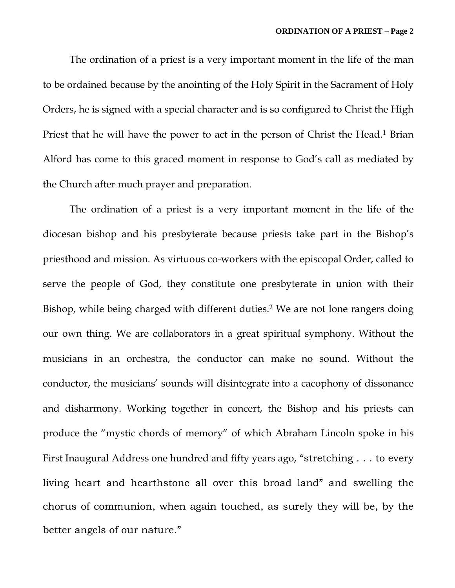The ordination of a priest is a very important moment in the life of the man to be ordained because by the anointing of the Holy Spirit in the Sacrament of Holy Orders, he is signed with a special character and is so configured to Christ the High Priest that he will have the power to act in the person of Christ the Head.<sup>1</sup> Brian Alford has come to this graced moment in response to God's call as mediated by the Church after much prayer and preparation.

The ordination of a priest is a very important moment in the life of the diocesan bishop and his presbyterate because priests take part in the Bishop's priesthood and mission. As virtuous co-workers with the episcopal Order, called to serve the people of God, they constitute one presbyterate in union with their Bishop, while being charged with different duties.<sup>2</sup> We are not lone rangers doing our own thing. We are collaborators in a great spiritual symphony. Without the musicians in an orchestra, the conductor can make no sound. Without the conductor, the musicians' sounds will disintegrate into a cacophony of dissonance and disharmony. Working together in concert, the Bishop and his priests can produce the "mystic chords of memory" of which Abraham Lincoln spoke in his First Inaugural Address one hundred and fifty years ago, "stretching . . . to every living heart and hearthstone all over this broad land" and swelling the chorus of communion, when again touched, as surely they will be, by the better angels of our nature."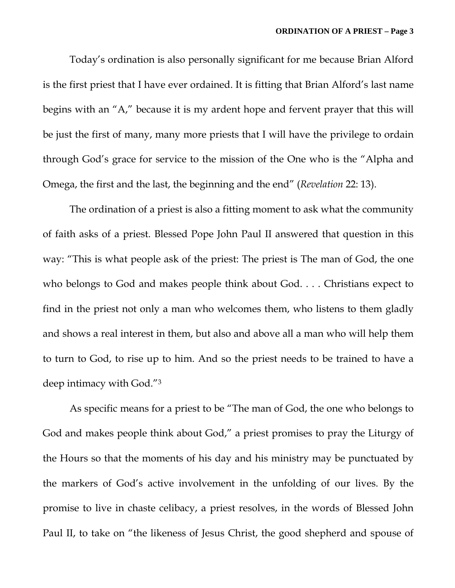Today's ordination is also personally significant for me because Brian Alford is the first priest that I have ever ordained. It is fitting that Brian Alford's last name begins with an "A," because it is my ardent hope and fervent prayer that this will be just the first of many, many more priests that I will have the privilege to ordain through God's grace for service to the mission of the One who is the "Alpha and Omega, the first and the last, the beginning and the end" (*Revelation* 22: 13).

The ordination of a priest is also a fitting moment to ask what the community of faith asks of a priest. Blessed Pope John Paul II answered that question in this way: "This is what people ask of the priest: The priest is The man of God, the one who belongs to God and makes people think about God. . . . Christians expect to find in the priest not only a man who welcomes them, who listens to them gladly and shows a real interest in them, but also and above all a man who will help them to turn to God, to rise up to him. And so the priest needs to be trained to have a deep intimacy with God."3

As specific means for a priest to be "The man of God, the one who belongs to God and makes people think about God," a priest promises to pray the Liturgy of the Hours so that the moments of his day and his ministry may be punctuated by the markers of God's active involvement in the unfolding of our lives. By the promise to live in chaste celibacy, a priest resolves, in the words of Blessed John Paul II, to take on "the likeness of Jesus Christ, the good shepherd and spouse of